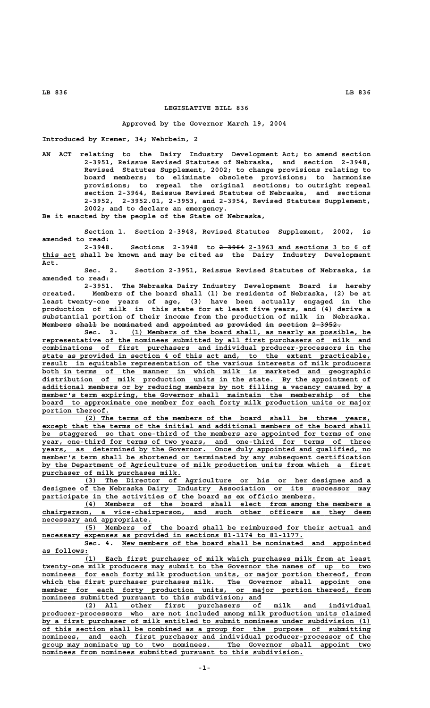## **LEGISLATIVE BILL 836**

## **Approved by the Governor March 19, 2004**

**Introduced by Kremer, 34; Wehrbein, 2**

**AN ACT relating to the Dairy Industry Development Act; to amend section 2-3951, Reissue Revised Statutes of Nebraska, and section 2-3948, Revised Statutes Supplement, 2002; to change provisions relating to board members; to eliminate obsolete provisions; to harmonize provisions; to repeal the original sections; to outright repeal section 2-3964, Reissue Revised Statutes of Nebraska, and sections 2-3952, 2-3952.01, 2-3953, and 2-3954, Revised Statutes Supplement, 2002; and to declare an emergency.**

**Be it enacted by the people of the State of Nebraska,**

**Section 1. Section 2-3948, Revised Statutes Supplement, 2002, is amended to read:**

 **—————— \_\_\_\_\_\_\_\_\_\_\_\_\_\_\_\_\_\_\_\_\_\_\_\_\_\_\_\_\_ 2-3948. Sections 2-3948 to 2-3964 2-3963 and sections 3 to 6 of \_\_\_\_\_\_\_\_ this act shall be known and may be cited as the Dairy Industry Development Act.**

**Sec. 2. Section 2-3951, Reissue Revised Statutes of Nebraska, is amended to read:**

**2-3951. The Nebraska Dairy Industry Development Board is hereby created. Members of the board shall (1) be residents of Nebraska, (2) be at least twenty-one years of age, (3) have been actually engaged in the production of milk in this state for at least five years, and (4) derive a substantial portion of their income from the production of milk in Nebraska.** Members shall be nominated and appointed as provided in section 2-3952.

Sec. 3. (1) Members of the board shall, as nearly as possible, be  **\_\_\_\_\_\_\_\_\_\_\_\_\_\_\_\_\_\_\_\_\_\_\_\_\_\_\_\_\_\_\_\_\_\_\_\_\_\_\_\_\_\_\_\_\_\_\_\_\_\_\_\_\_\_\_\_\_\_\_\_\_\_\_\_\_\_\_\_\_\_\_\_\_\_\_\_\_\_ representative of the nominees submitted by all first purchasers of milk and \_\_\_\_\_\_\_\_\_\_\_\_\_\_\_\_\_\_\_\_\_\_\_\_\_\_\_\_\_\_\_\_\_\_\_\_\_\_\_\_\_\_\_\_\_\_\_\_\_\_\_\_\_\_\_\_\_\_\_\_\_\_\_\_\_\_\_\_\_\_\_\_\_\_\_\_\_\_ combinations of first purchasers and individual producer-processors in the** state as provided in section 4 of this act and, to the extent practicable, result in equitable representation of the various interests of milk producers  **\_\_\_\_\_\_\_\_\_\_\_\_\_\_\_\_\_\_\_\_\_\_\_\_\_\_\_\_\_\_\_\_\_\_\_\_\_\_\_\_\_\_\_\_\_\_\_\_\_\_\_\_\_\_\_\_\_\_\_\_\_\_\_\_\_\_\_\_\_\_\_\_\_\_\_\_\_\_ result in equitable representation of the various interests of milk producers** both in terms of the manner in which milk is marketed and geographic  **\_\_\_\_\_\_\_\_\_\_\_\_\_\_\_\_\_\_\_\_\_\_\_\_\_\_\_\_\_\_\_\_\_\_\_\_\_\_\_\_\_\_\_\_\_\_\_\_\_\_\_\_\_\_\_\_\_\_\_\_\_\_\_\_\_\_\_\_\_\_\_\_\_\_\_\_\_\_ distribution of milk production units in the state. By the appointment of \_\_\_\_\_\_\_\_\_\_\_\_\_\_\_\_\_\_\_\_\_\_\_\_\_\_\_\_\_\_\_\_\_\_\_\_\_\_\_\_\_\_\_\_\_\_\_\_\_\_\_\_\_\_\_\_\_\_\_\_\_\_\_\_\_\_\_\_\_\_\_\_\_\_\_\_\_\_ additional members or by reducing members by not filling a vacancy caused by a** member's term expiring, the Governor shall maintain the membership of the  **\_\_\_\_\_\_\_\_\_\_\_\_\_\_\_\_\_\_\_\_\_\_\_\_\_\_\_\_\_\_\_\_\_\_\_\_\_\_\_\_\_\_\_\_\_\_\_\_\_\_\_\_\_\_\_\_\_\_\_\_\_\_\_\_\_\_\_\_\_\_\_\_\_\_\_\_\_\_ board to approximate one member for each forty milk production units or major** portion thereof.

 **\_\_\_\_\_\_\_\_\_\_\_\_\_\_\_\_\_\_\_\_\_\_\_\_\_\_\_\_\_\_\_\_\_\_\_\_\_\_\_\_\_\_\_\_\_\_\_\_\_\_\_\_\_\_\_\_\_\_\_\_\_\_\_\_\_\_\_\_ (2) The terms of the members of the board shall be three years,** except that the terms of the initial and additional members of the board shall  **\_\_\_\_\_\_\_\_\_\_\_\_\_\_\_\_\_\_\_\_\_\_\_\_\_\_\_\_\_\_\_\_\_\_\_\_\_\_\_\_\_\_\_\_\_\_\_\_\_\_\_\_\_\_\_\_\_\_\_\_\_\_\_\_\_\_\_\_\_\_\_\_\_\_\_\_\_\_ be staggered so that one-third of the members are appointed for terms of one \_\_\_\_\_\_\_\_\_\_\_\_\_\_\_\_\_\_\_\_\_\_\_\_\_\_\_\_\_\_\_\_\_\_\_\_\_\_\_\_\_\_\_\_\_\_\_\_\_\_\_\_\_\_\_\_\_\_\_\_\_\_\_\_\_\_\_\_\_\_\_\_\_\_\_\_\_\_ year, one-third for terms of two years, and one-third for terms of three \_\_\_\_\_\_\_\_\_\_\_\_\_\_\_\_\_\_\_\_\_\_\_\_\_\_\_\_\_\_\_\_\_\_\_\_\_\_\_\_\_\_\_\_\_\_\_\_\_\_\_\_\_\_\_\_\_\_\_\_\_\_\_\_\_\_\_\_\_\_\_\_\_\_\_\_\_\_ years, as determined by the Governor. Once duly appointed and qualified, no \_\_\_\_\_\_\_\_\_\_\_\_\_\_\_\_\_\_\_\_\_\_\_\_\_\_\_\_\_\_\_\_\_\_\_\_\_\_\_\_\_\_\_\_\_\_\_\_\_\_\_\_\_\_\_\_\_\_\_\_\_\_\_\_\_\_\_\_\_\_\_\_\_\_\_\_\_\_ member's term shall be shortened or terminated by any subsequent certification \_\_\_\_\_\_\_\_\_\_\_\_\_\_\_\_\_\_\_\_\_\_\_\_\_\_\_\_\_\_\_\_\_\_\_\_\_\_\_\_\_\_\_\_\_\_\_\_\_\_\_\_\_\_\_\_\_\_\_\_\_\_\_\_\_\_\_\_\_\_\_\_\_\_\_\_\_\_ by the Department of Agriculture of milk production units from which a first by the Department of milk purchases milk.**<br>
purchaser of milk purchases milk.<br>
(2) The Director of Agriculture or

 **\_\_\_\_\_\_\_\_\_\_\_\_\_\_\_\_\_\_\_\_\_\_\_\_\_\_\_\_\_\_\_\_\_\_\_\_\_\_\_\_\_\_\_\_\_\_\_\_\_\_\_\_\_\_\_\_\_\_\_\_\_\_\_\_\_\_\_\_ (3) The Director of Agriculture or his or her designee and a \_\_\_\_\_\_\_\_\_\_\_\_\_\_\_\_\_\_\_\_\_\_\_\_\_\_\_\_\_\_\_\_\_\_\_\_\_\_\_\_\_\_\_\_\_\_\_\_\_\_\_\_\_\_\_\_\_\_\_\_\_\_\_\_\_\_\_\_\_\_\_\_\_\_\_\_\_\_ designee of the Nebraska Dairy Industry Association or its successor may** participate in the activities of the board as ex officio members.

 **\_\_\_\_\_\_\_\_\_\_\_\_\_\_\_\_\_\_\_\_\_\_\_\_\_\_\_\_\_\_\_\_\_\_\_\_\_\_\_\_\_\_\_\_\_\_\_\_\_\_\_\_\_\_\_\_\_\_\_\_\_\_\_\_\_\_\_\_ (4) Members of the board shall elect from among the members a \_\_\_\_\_\_\_\_\_\_\_\_\_\_\_\_\_\_\_\_\_\_\_\_\_\_\_\_\_\_\_\_\_\_\_\_\_\_\_\_\_\_\_\_\_\_\_\_\_\_\_\_\_\_\_\_\_\_\_\_\_\_\_\_\_\_\_\_\_\_\_\_\_\_\_\_\_\_ chairperson, a vice-chairperson, and such other officers as they deem necessary and appropriate.**<br>(5) Members of

 **\_\_\_\_\_\_\_\_\_\_\_\_\_\_\_\_\_\_\_\_\_\_\_\_\_\_\_\_\_\_\_\_\_\_\_\_\_\_\_\_\_\_\_\_\_\_\_\_\_\_\_\_\_\_\_\_\_\_\_\_\_\_\_\_\_\_\_\_ (5) Members of the board shall be reimbursed for their actual and \_\_\_\_\_\_\_\_\_\_\_\_\_\_\_\_\_\_\_\_\_\_\_\_\_\_\_\_\_\_\_\_\_\_\_\_\_\_\_\_\_\_\_\_\_\_\_\_\_\_\_\_\_\_\_\_\_\_\_\_\_\_ necessary expenses as provided in sections 81-1174 to 81-1177.**

 **\_\_\_\_\_\_\_\_\_\_\_\_\_\_\_\_\_\_\_\_\_\_\_\_\_\_\_\_\_\_\_\_\_\_\_\_\_\_\_\_\_\_\_\_\_\_\_\_\_\_\_\_\_\_\_\_\_\_\_ Sec. 4. New members of the board shall be nominated and appointed as follows: \_\_\_\_\_\_\_\_\_\_\_**

 **\_\_\_\_\_\_\_\_\_\_\_\_\_\_\_\_\_\_\_\_\_\_\_\_\_\_\_\_\_\_\_\_\_\_\_\_\_\_\_\_\_\_\_\_\_\_\_\_\_\_\_\_\_\_\_\_\_\_\_\_\_\_\_\_\_\_\_\_ (1) Each first purchaser of milk which purchases milk from at least \_\_\_\_\_\_\_\_\_\_\_\_\_\_\_\_\_\_\_\_\_\_\_\_\_\_\_\_\_\_\_\_\_\_\_\_\_\_\_\_\_\_\_\_\_\_\_\_\_\_\_\_\_\_\_\_\_\_\_\_\_\_\_\_\_\_\_\_\_\_\_\_\_\_\_\_\_\_ twenty-one milk producers may submit to the Governor the names of up to two** nominees for each forty milk production units, or major portion thereof, from  **\_\_\_\_\_\_\_\_\_\_\_\_\_\_\_\_\_\_\_\_\_\_\_\_\_\_\_\_\_\_\_\_\_\_\_\_\_\_\_\_\_\_\_\_\_\_\_\_\_\_\_\_\_\_\_\_\_\_\_\_\_\_\_\_\_\_\_\_\_\_\_\_\_\_\_\_\_\_ which the first purchaser purchases milk. The Governor shall appoint one \_\_\_\_\_\_\_\_\_\_\_\_\_\_\_\_\_\_\_\_\_\_\_\_\_\_\_\_\_\_\_\_\_\_\_\_\_\_\_\_\_\_\_\_\_\_\_\_\_\_\_\_\_\_\_\_\_\_\_\_\_\_\_\_\_\_\_\_\_\_\_\_\_\_\_\_\_\_ member for each forty production units, or major portion thereof, from** nominees submitted pursuant to this subdivision; and

 **\_\_\_\_\_\_\_\_\_\_\_\_\_\_\_\_\_\_\_\_\_\_\_\_\_\_\_\_\_\_\_\_\_\_\_\_\_\_\_\_\_\_\_\_\_\_\_\_\_\_\_\_\_\_\_\_\_\_\_\_\_\_\_\_\_\_\_\_ (2) All other first purchasers of milk and individual \_\_\_\_\_\_\_\_\_\_\_\_\_\_\_\_\_\_\_\_\_\_\_\_\_\_\_\_\_\_\_\_\_\_\_\_\_\_\_\_\_\_\_\_\_\_\_\_\_\_\_\_\_\_\_\_\_\_\_\_\_\_\_\_\_\_\_\_\_\_\_\_\_\_\_\_\_\_ producer-processors who are not included among milk production units claimed** producer-processors who are not incruded dating main production units crained by a first purchaser of milk entitled to submit nominees under subdivision (1)  **\_\_\_\_\_\_\_\_\_\_\_\_\_\_\_\_\_\_\_\_\_\_\_\_\_\_\_\_\_\_\_\_\_\_\_\_\_\_\_\_\_\_\_\_\_\_\_\_\_\_\_\_\_\_\_\_\_\_\_\_\_\_\_\_\_\_\_\_\_\_\_\_\_\_\_\_\_\_ of this section shall be combined as a group for the purpose of submitting \_\_\_\_\_\_\_\_\_\_\_\_\_\_\_\_\_\_\_\_\_\_\_\_\_\_\_\_\_\_\_\_\_\_\_\_\_\_\_\_\_\_\_\_\_\_\_\_\_\_\_\_\_\_\_\_\_\_\_\_\_\_\_\_\_\_\_\_\_\_\_\_\_\_\_\_\_\_ nominees, and each first purchaser and individual producer-processor of the \_\_\_\_\_\_\_\_\_\_\_\_\_\_\_\_\_\_\_\_\_\_\_\_\_\_\_\_\_\_\_\_\_\_\_\_\_\_\_\_\_\_\_\_\_\_\_\_\_\_\_\_\_\_\_\_\_\_\_\_\_\_\_\_\_\_\_\_\_\_\_\_\_\_\_\_\_\_ group may nominate up to two nominees. The Governor shall appoint two \_\_\_\_\_\_\_\_\_\_\_\_\_\_\_\_\_\_\_\_\_\_\_\_\_\_\_\_\_\_\_\_\_\_\_\_\_\_\_\_\_\_\_\_\_\_\_\_\_\_\_\_\_\_\_\_\_\_\_\_\_\_ nominees from nominees submitted pursuant to this subdivision.**